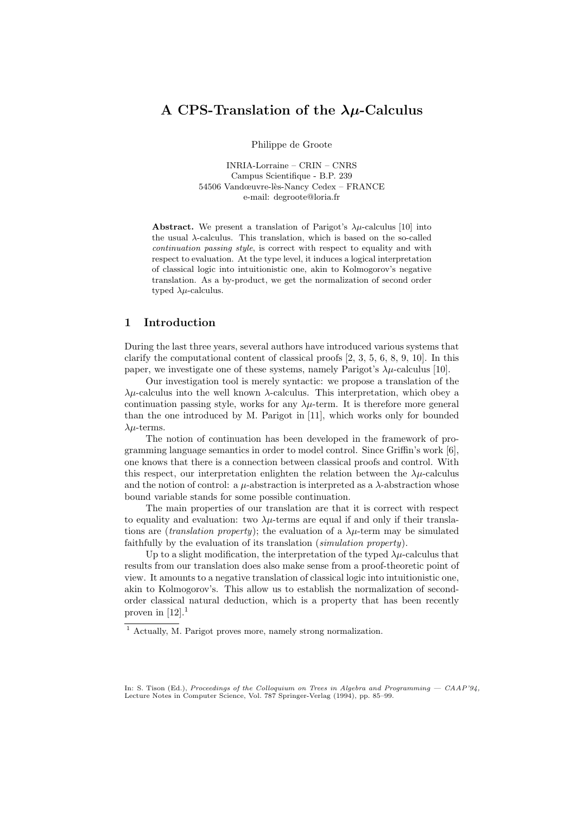# A CPS-Translation of the  $\lambda\mu$ -Calculus

Philippe de Groote

INRIA-Lorraine – CRIN – CNRS Campus Scientifique - B.P. 239 54506 Vandœuvre-lès-Nancy Cedex – FRANCE e-mail: degroote@loria.fr

**Abstract.** We present a translation of Parigot's  $\lambda \mu$ -calculus [10] into the usual  $\lambda$ -calculus. This translation, which is based on the so-called continuation passing style, is correct with respect to equality and with respect to evaluation. At the type level, it induces a logical interpretation of classical logic into intuitionistic one, akin to Kolmogorov's negative translation. As a by-product, we get the normalization of second order typed  $\lambda \mu$ -calculus.

### 1 Introduction

During the last three years, several authors have introduced various systems that clarify the computational content of classical proofs [2, 3, 5, 6, 8, 9, 10]. In this paper, we investigate one of these systems, namely Parigot's  $\lambda \mu$ -calculus [10].

Our investigation tool is merely syntactic: we propose a translation of the  $\lambda\mu$ -calculus into the well known  $\lambda$ -calculus. This interpretation, which obey a continuation passing style, works for any  $\lambda \mu$ -term. It is therefore more general than the one introduced by M. Parigot in [11], which works only for bounded  $\lambda$ *u*-terms.

The notion of continuation has been developed in the framework of programming language semantics in order to model control. Since Griffin's work [6], one knows that there is a connection between classical proofs and control. With this respect, our interpretation enlighten the relation between the  $\lambda \mu$ -calculus and the notion of control: a  $\mu$ -abstraction is interpreted as a  $\lambda$ -abstraction whose bound variable stands for some possible continuation.

The main properties of our translation are that it is correct with respect to equality and evaluation: two  $\lambda \mu$ -terms are equal if and only if their translations are (*translation property*); the evaluation of a  $\lambda \mu$ -term may be simulated faithfully by the evaluation of its translation (simulation property).

Up to a slight modification, the interpretation of the typed  $\lambda \mu$ -calculus that results from our translation does also make sense from a proof-theoretic point of view. It amounts to a negative translation of classical logic into intuitionistic one, akin to Kolmogorov's. This allow us to establish the normalization of secondorder classical natural deduction, which is a property that has been recently proven in  $[12].<sup>1</sup>$ 

 $\overline{\hbox{1}}$  Actually, M. Parigot proves more, namely strong normalization.

In: S. Tison (Ed.), Proceedings of the Colloquium on Trees in Algebra and Programming  $-$  CAAP'94, Lecture Notes in Computer Science, Vol. 787 Springer-Verlag (1994), pp. 85–99.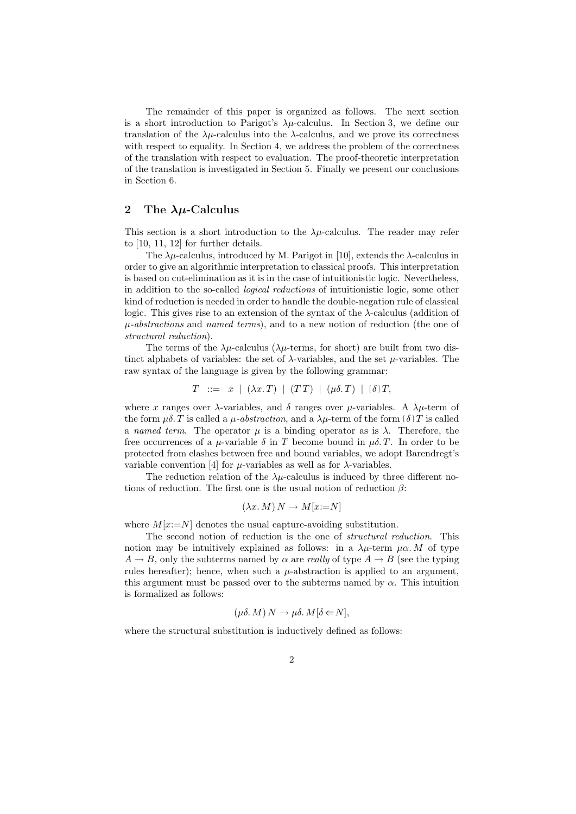The remainder of this paper is organized as follows. The next section is a short introduction to Parigot's  $\lambda \mu$ -calculus. In Section 3, we define our translation of the  $\lambda \mu$ -calculus into the  $\lambda$ -calculus, and we prove its correctness with respect to equality. In Section 4, we address the problem of the correctness of the translation with respect to evaluation. The proof-theoretic interpretation of the translation is investigated in Section 5. Finally we present our conclusions in Section 6.

# 2 The  $\lambda\mu$ -Calculus

This section is a short introduction to the  $\lambda \mu$ -calculus. The reader may refer to [10, 11, 12] for further details.

The  $\lambda \mu$ -calculus, introduced by M. Parigot in [10], extends the  $\lambda$ -calculus in order to give an algorithmic interpretation to classical proofs. This interpretation is based on cut-elimination as it is in the case of intuitionistic logic. Nevertheless, in addition to the so-called logical reductions of intuitionistic logic, some other kind of reduction is needed in order to handle the double-negation rule of classical logic. This gives rise to an extension of the syntax of the  $\lambda$ -calculus (addition of  $\mu$ -abstractions and named terms), and to a new notion of reduction (the one of structural reduction).

The terms of the  $\lambda \mu$ -calculus ( $\lambda \mu$ -terms, for short) are built from two distinct alphabets of variables: the set of  $\lambda$ -variables, and the set  $\mu$ -variables. The raw syntax of the language is given by the following grammar:

$$
T \ ::= x \mid (\lambda x. T) \mid (TT) \mid (\mu \delta. T) \mid [\delta] T,
$$

where x ranges over  $\lambda$ -variables, and  $\delta$  ranges over  $\mu$ -variables. A  $\lambda \mu$ -term of the form  $\mu\delta$ . T is called a  $\mu$ -abstraction, and a  $\lambda\mu$ -term of the form  $[\delta]$  T is called a named term. The operator  $\mu$  is a binding operator as is  $\lambda$ . Therefore, the free occurrences of a  $\mu$ -variable  $\delta$  in T become bound in  $\mu\delta$ . T. In order to be protected from clashes between free and bound variables, we adopt Barendregt's variable convention [4] for  $\mu$ -variables as well as for  $\lambda$ -variables.

The reduction relation of the  $\lambda \mu$ -calculus is induced by three different notions of reduction. The first one is the usual notion of reduction  $\beta$ :

$$
(\lambda x. M) N \to M[x:=N]
$$

where  $M[x:=N]$  denotes the usual capture-avoiding substitution.

The second notion of reduction is the one of structural reduction. This notion may be intuitively explained as follows: in a  $\lambda u$ -term  $\mu \alpha$ . M of type  $A \rightarrow B$ , only the subterms named by  $\alpha$  are *really* of type  $A \rightarrow B$  (see the typing rules hereafter); hence, when such a  $\mu$ -abstraction is applied to an argument, this argument must be passed over to the subterms named by  $\alpha$ . This intuition is formalized as follows:

$$
(\mu \delta. M) N \to \mu \delta. M[\delta \leftarrow N],
$$

where the structural substitution is inductively defined as follows: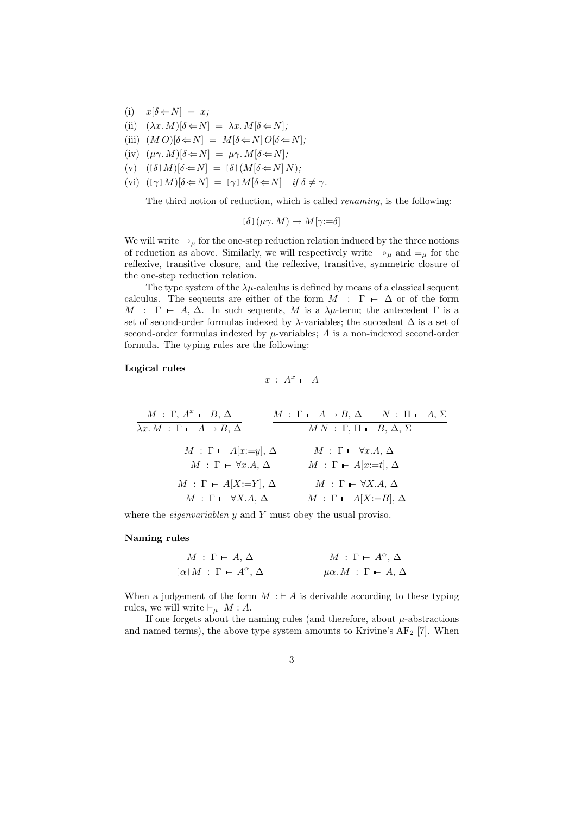- (i)  $x[\delta \Leftarrow N] = x;$
- (ii)  $(\lambda x. M)[\delta \Leftarrow N] = \lambda x. M[\delta \Leftarrow N];$
- (iii)  $(M O)[\delta \leftarrow N] = M[\delta \leftarrow N] O[\delta \leftarrow N]$ ;
- (iv)  $(\mu \gamma \cdot M)[\delta \Leftarrow N] = \mu \gamma \cdot M[\delta \Leftarrow N];$
- (v)  $((\delta) M)[\delta \Leftarrow N] = [\delta] (M[\delta \Leftarrow N] N);$
- (vi)  $[(\gamma] M)[\delta \Leftarrow N] = [\gamma] M[\delta \Leftarrow N]$  if  $\delta \neq \gamma$ .

The third notion of reduction, which is called renaming, is the following:

$$
[\delta](\mu\gamma \cdot M) \to M[\gamma;=\delta]
$$

We will write  $\rightarrow_{\mu}$  for the one-step reduction relation induced by the three notions of reduction as above. Similarly, we will respectively write  $\rightarrow_{\mu}$  and  $=_{\mu}$  for the reflexive, transitive closure, and the reflexive, transitive, symmetric closure of the one-step reduction relation.

The type system of the  $\lambda\mu$ -calculus is defined by means of a classical sequent calculus. The sequents are either of the form  $M : \Gamma \vdash \Delta$  or of the form M :  $\Gamma$  – A,  $\Delta$ . In such sequents, M is a  $\lambda \mu$ -term; the antecedent  $\Gamma$  is a set of second-order formulas indexed by  $\lambda$ -variables; the succedent  $\Delta$  is a set of second-order formulas indexed by  $\mu$ -variables; A is a non-indexed second-order formula. The typing rules are the following:

#### Logical rules

$$
x \; : \; A^x \; \vdash \; A
$$

$$
\frac{M : \Gamma, A^x \vdash B, \Delta}{\lambda x.M : \Gamma \vdash A \rightarrow B, \Delta} \qquad \frac{M : \Gamma \vdash A \rightarrow B, \Delta \qquad N : \Pi \vdash A, \Sigma}{MN : \Gamma, \Pi \vdash B, \Delta, \Sigma}
$$
\n
$$
\frac{M : \Gamma \vdash A[x:=y], \Delta}{M : \Gamma \vdash \forall x.A, \Delta} \qquad \frac{M : \Gamma \vdash \forall x.A, \Delta}{M : \Gamma \vdash A[x:=t], \Delta}
$$
\n
$$
\frac{M : \Gamma \vdash A[X:=Y], \Delta}{M : \Gamma \vdash \forall X.A, \Delta} \qquad \frac{M : \Gamma \vdash \forall X.A, \Delta}{M : \Gamma \vdash A[X:=B], \Delta}
$$

where the *eigenvariablen* y and Y must obey the usual proviso.

#### Naming rules

$$
\frac{M \,:\, \Gamma \,\vdash\, A, \,\Delta}{[\alpha] \,M \,:\, \Gamma \,\vdash\, A^{\alpha}, \,\Delta} \qquad \qquad \frac{M \,:\, \Gamma \,\vdash\, A^{\alpha}, \,\Delta}{\mu\alpha.\,M \,:\, \Gamma \,\vdash\, A, \,\Delta}
$$

When a judgement of the form  $M : \vdash A$  is derivable according to these typing rules, we will write  $\vdash_{\mu} M : A$ .

If one forgets about the naming rules (and therefore, about  $\mu$ -abstractions and named terms), the above type system amounts to Krivine's  $AF<sub>2</sub>$  [7]. When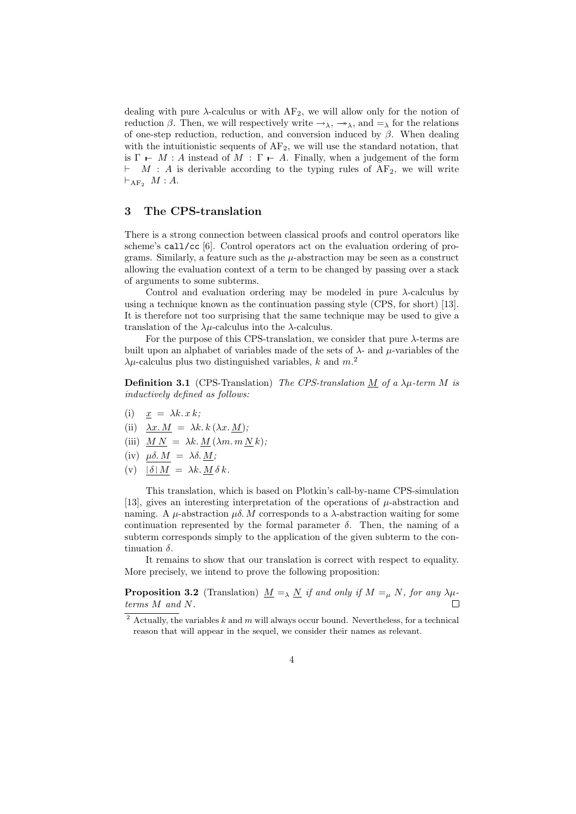dealing with pure  $\lambda$ -calculus or with  $AF_2$ , we will allow only for the notion of reduction  $\beta$ . Then, we will respectively write  $\rightarrow_{\lambda}$ ,  $\rightarrow_{\lambda}$ , and  $=\lambda$  for the relations of one-step reduction, reduction, and conversion induced by  $\beta$ . When dealing with the intuitionistic sequents of  $AF_2$ , we will use the standard notation, that is  $\Gamma$  – M : A instead of M :  $\Gamma$  – A. Finally, when a judgement of the form  $\vdash$  M : A is derivable according to the typing rules of AF<sub>2</sub>, we will write  $\vdash_{\text{AF}_2} M : A$ .

#### 3 The CPS-translation

There is a strong connection between classical proofs and control operators like scheme's call/cc [6]. Control operators act on the evaluation ordering of programs. Similarly, a feature such as the  $\mu$ -abstraction may be seen as a construct allowing the evaluation context of a term to be changed by passing over a stack of arguments to some subterms.

Control and evaluation ordering may be modeled in pure  $\lambda$ -calculus by using a technique known as the continuation passing style (CPS, for short) [13]. It is therefore not too surprising that the same technique may be used to give a translation of the  $\lambda \mu$ -calculus into the  $\lambda$ -calculus.

For the purpose of this CPS-translation, we consider that pure  $\lambda$ -terms are built upon an alphabet of variables made of the sets of  $\lambda$ - and  $\mu$ -variables of the  $\lambda \mu$ -calculus plus two distinguished variables, k and  $m^2$ .

**Definition 3.1** (CPS-Translation) The CPS-translation  $\underline{M}$  of a  $\lambda \mu$ -term M is inductively defined as follows:

- (i)  $x = \lambda k \cdot x \cdot k$ ;
- (ii)  $\lambda x.M = \lambda k.k (\lambda x.M);$
- (iii)  $MN = \lambda k.M (\lambda m.m N k);$
- (iv)  $\mu \delta. M = \lambda \delta. M;$
- (v)  $[\delta] M = \lambda k \cdot M \delta k$ .

This translation, which is based on Plotkin's call-by-name CPS-simulation [13], gives an interesting interpretation of the operations of  $\mu$ -abstraction and naming. A  $\mu$ -abstraction  $\mu\delta$ . M corresponds to a  $\lambda$ -abstraction waiting for some continuation represented by the formal parameter  $\delta$ . Then, the naming of a subterm corresponds simply to the application of the given subterm to the continuation  $\delta$ .

It remains to show that our translation is correct with respect to equality. More precisely, we intend to prove the following proposition:

**Proposition 3.2** (Translation)  $\underline{M} = \lambda \underline{N}$  if and only if  $M = \mu N$ , for any  $\lambda \mu$ terms M and N. П

 $2$  Actually, the variables k and m will always occur bound. Nevertheless, for a technical reason that will appear in the sequel, we consider their names as relevant.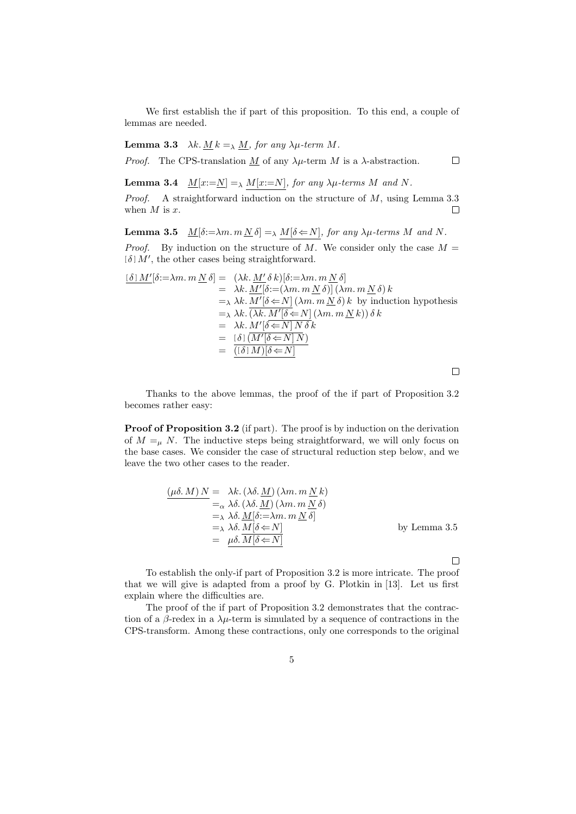We first establish the if part of this proposition. To this end, a couple of lemmas are needed.

**Lemma 3.3**  $\lambda k. M k =_{\lambda} M$ , for any  $\lambda \mu$ -term M.

*Proof.* The CPS-translation M of any  $\lambda \mu$ -term M is a  $\lambda$ -abstraction.

**Lemma 3.4**  $\underline{M}[x:=\underline{N}] = \lambda M[x:=N]$ , for any  $\lambda \mu$ -terms M and N.

*Proof.* A straightforward induction on the structure of M, using Lemma 3.3 when  $M$  is  $x$ . П

**Lemma 3.5**  $\underline{M}[\delta:=\lambda m. m \underline{N} \delta] = \lambda \underline{M}[\delta \in N],$  for any  $\lambda \mu$ -terms M and N.

*Proof.* By induction on the structure of M. We consider only the case  $M =$  $[\delta] M'$ , the other cases being straightforward.

$$
\begin{aligned}\n[\delta] M'[\delta := \lambda m. m \underline{N} \delta] &= (\lambda k. \underline{M'} \delta \, k)[\delta := \lambda m. m \underline{N} \, \delta] \\
&= \lambda k. \underline{M'}[\delta := (\lambda m. m \underline{N} \, \delta)] \, (\lambda m. m \underline{N} \, \delta) \, k \\
&= \lambda \, k. \underline{M'}[\delta \leftarrow N] \, (\lambda m. m \underline{N} \, \delta) \, k \, \text{ by induction hypothesis} \\
&= \lambda \, k. \, \overline{(\lambda k. M'[\delta \leftarrow N] \, (\lambda m. m \underline{N} \, k))} \, \delta \, k \\
&= \lambda k. \, \underline{M'[\delta \leftarrow N] \, N} \, \delta \, k \\
&= [\delta] \, \overline{(\underline{M'}[\delta \leftarrow N] \, N)} \\
&= \underline{[\delta] \, M] [\delta \leftarrow N]}\n\end{aligned}
$$

 $\Box$ 

 $\Box$ 

Thanks to the above lemmas, the proof of the if part of Proposition 3.2 becomes rather easy:

Proof of Proposition 3.2 (if part). The proof is by induction on the derivation of  $M = u$  N. The inductive steps being straightforward, we will only focus on the base cases. We consider the case of structural reduction step below, and we leave the two other cases to the reader.

$$
\begin{aligned}\n\frac{(\mu\delta \cdot M) N}{\mu\delta \cdot M} &= \lambda k \cdot (\lambda\delta \cdot \underline{M}) (\lambda m \cdot m \underline{N} k) \\
&=_{\alpha} \lambda \delta \cdot (\lambda\delta \cdot \underline{M}) (\lambda m \cdot m \underline{N} \delta) \\
&=_{\lambda} \lambda \delta \cdot \underline{M} [\delta := \lambda m \cdot m \underline{N} \delta] \\
&=_{\lambda} \lambda \delta \cdot \underline{M} [\delta \leftarrow N] \\
&= \mu\delta \cdot \underline{M} [\delta \leftarrow N]\n\end{aligned}\n\qquad \text{by Lemma 3.5}
$$

 $\Box$ 

To establish the only-if part of Proposition 3.2 is more intricate. The proof that we will give is adapted from a proof by G. Plotkin in [13]. Let us first explain where the difficulties are.

The proof of the if part of Proposition 3.2 demonstrates that the contraction of a  $\beta$ -redex in a  $\lambda \mu$ -term is simulated by a sequence of contractions in the CPS-transform. Among these contractions, only one corresponds to the original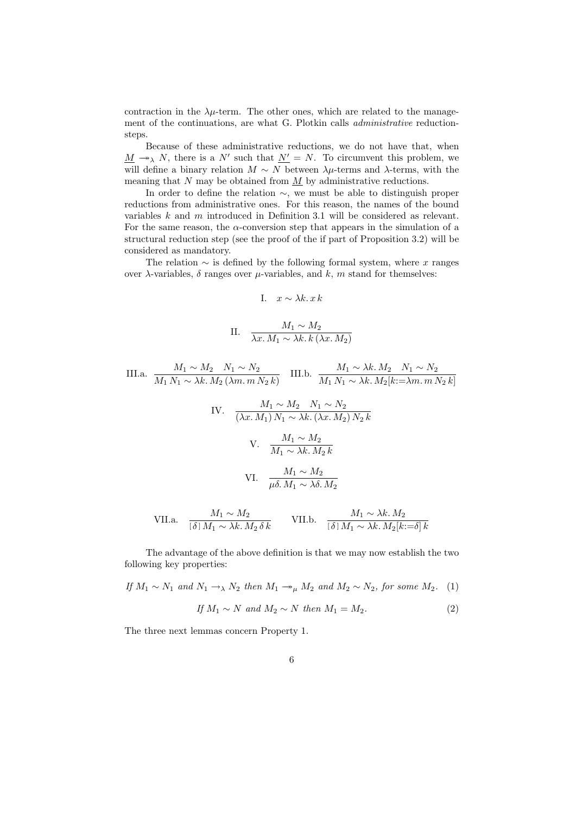contraction in the  $\lambda \mu$ -term. The other ones, which are related to the management of the continuations, are what G. Plotkin calls administrative reductionsteps.

Because of these administrative reductions, we do not have that, when  $\underline{M} \rightarrow \chi N$ , there is a N' such that  $\underline{N'} = N$ . To circumvent this problem, we will define a binary relation  $M \sim N$  between  $\lambda \mu$ -terms and  $\lambda$ -terms, with the meaning that  $N$  may be obtained from  $M$  by administrative reductions.

In order to define the relation ∼, we must be able to distinguish proper reductions from administrative ones. For this reason, the names of the bound variables k and m introduced in Definition 3.1 will be considered as relevant. For the same reason, the  $\alpha$ -conversion step that appears in the simulation of a structural reduction step (see the proof of the if part of Proposition 3.2) will be considered as mandatory.

The relation  $\sim$  is defined by the following formal system, where x ranges over  $λ$ -variables,  $δ$  ranges over  $μ$ -variables, and  $k$ ,  $m$  stand for themselves:

I. 
$$
x \sim \lambda k \cdot x k
$$

II. 
$$
\frac{M_1 \sim M_2}{\lambda x. M_1 \sim \lambda k. k (\lambda x. M_2)}
$$

III.a. 
$$
\frac{M_1 \sim M_2}{M_1 N_1 \sim \lambda k. M_2 (\lambda m. m N_2 k)} \quad \text{III.b.} \quad \frac{M_1 \sim \lambda k. M_2}{M_1 N_1 \sim \lambda k. M_2[k := \lambda m. m N_2 k]}
$$
  
\nIV. 
$$
\frac{M_1 \sim M_2}{(\lambda x. M_1) N_1 \sim \lambda k. (\lambda x. M_2) N_2 k}
$$
  
\nV. 
$$
\frac{M_1 \sim M_2}{M_1 \sim \lambda k. M_2 k}
$$
  
\nVI. 
$$
\frac{M_1 \sim M_2}{\mu \delta. M_1 \sim \lambda \delta. M_2}
$$

VII.a. 
$$
\frac{M_1 \sim M_2}{\left[\delta\right] M_1 \sim \lambda k. M_2 \delta k}
$$
 VII.b. 
$$
\frac{M_1 \sim \lambda k. M_2}{\left[\delta\right] M_1 \sim \lambda k. M_2[k:=\delta] k}
$$

The advantage of the above definition is that we may now establish the two following key properties:

If 
$$
M_1 \sim N_1
$$
 and  $N_1 \to_N N_2$  then  $M_1 \to_M M_2$  and  $M_2 \sim N_2$ , for some  $M_2$ . (1)

$$
If M_1 \sim N \ and M_2 \sim N \ then M_1 = M_2. \tag{2}
$$

The three next lemmas concern Property 1.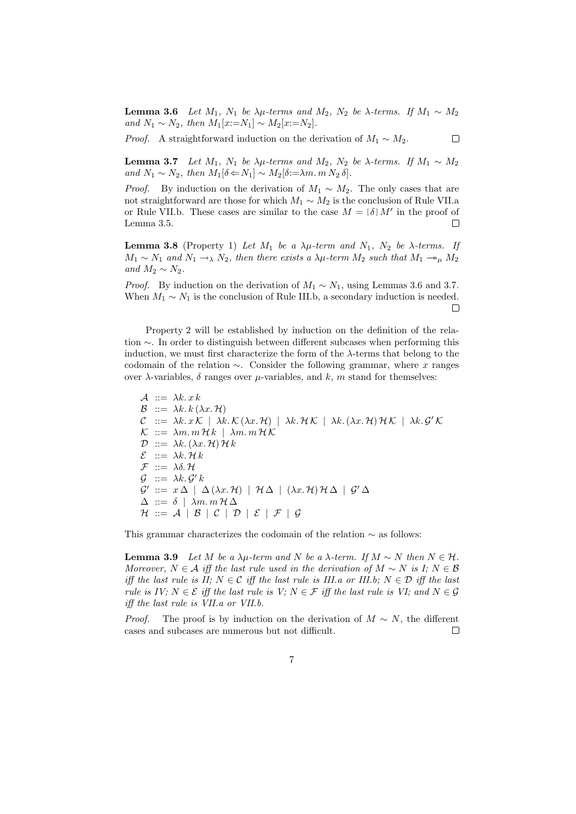**Lemma 3.6** Let  $M_1$ ,  $N_1$  be  $\lambda \mu$ -terms and  $M_2$ ,  $N_2$  be  $\lambda$ -terms. If  $M_1 \sim M_2$ and  $N_1 \sim N_2$ , then  $M_1[x:=N_1] \sim M_2[x:=N_2]$ .

 $\Box$ 

*Proof.* A straightforward induction on the derivation of  $M_1 \sim M_2$ .

**Lemma 3.7** Let  $M_1$ ,  $N_1$  be  $\lambda \mu$ -terms and  $M_2$ ,  $N_2$  be  $\lambda$ -terms. If  $M_1 \sim M_2$ and  $N_1 \sim N_2$ , then  $M_1[\delta \Longleftrightarrow N_1] \sim M_2[\delta := \lambda m \cdot m \cdot N_2 \cdot \delta].$ 

*Proof.* By induction on the derivation of  $M_1 \sim M_2$ . The only cases that are not straightforward are those for which  $M_1 \sim M_2$  is the conclusion of Rule VII.a or Rule VII.b. These cases are similar to the case  $M = [\delta] M'$  in the proof of  $\Box$ Lemma 3.5.

**Lemma 3.8** (Property 1) Let  $M_1$  be a  $\lambda \mu$ -term and  $N_1$ ,  $N_2$  be  $\lambda$ -terms. If  $M_1 \sim N_1$  and  $N_1 \to N_2$ , then there exists a  $\lambda \mu$ -term  $M_2$  such that  $M_1 \to \mu M_2$ and  $M_2 \sim N_2$ .

*Proof.* By induction on the derivation of  $M_1 \sim N_1$ , using Lemmas 3.6 and 3.7. When  $M_1 \sim N_1$  is the conclusion of Rule III.b, a secondary induction is needed. П

Property 2 will be established by induction on the definition of the relation ∼. In order to distinguish between different subcases when performing this induction, we must first characterize the form of the  $\lambda$ -terms that belong to the codomain of the relation  $\sim$ . Consider the following grammar, where x ranges over  $\lambda$ -variables,  $\delta$  ranges over  $\mu$ -variables, and k, m stand for themselves:

 $\mathcal{A}$  ::=  $\lambda k \cdot x k$  $\mathcal{B}$  ::=  $\lambda k. k (\lambda x. \mathcal{H})$  $\mathcal{C}$  ::=  $\lambda k. x \mathcal{K}$  |  $\lambda k. \mathcal{K}(\lambda x. \mathcal{H})$  |  $\lambda k. \mathcal{HK}$  |  $\lambda k.(\lambda x. \mathcal{H}) \mathcal{HK}$  |  $\lambda k. \mathcal{G}'\mathcal{K}$  $\mathcal{K}$  ::=  $\lambda m. m \mathcal{H} k$  |  $\lambda m. m \mathcal{H} \mathcal{K}$  $\mathcal{D}$  ::=  $\lambda k. (\lambda x. \mathcal{H}) \mathcal{H} k$  $\mathcal{E}$  ::=  $\lambda k.$  H k  $\mathcal{F}$  ::=  $\lambda \delta. \mathcal{H}$  $\mathcal{G}$  ::=  $\lambda k. \mathcal{G}' k$  $\mathcal{G}' ::= x \Delta \mid \Delta(\lambda x.\mathcal{H}) \mid \mathcal{H}\Delta \mid (\lambda x.\mathcal{H})\mathcal{H}\Delta \mid \mathcal{G}'\Delta$  $\Delta$  ::=  $\delta$  |  $\lambda m. m \mathcal{H} \Delta$  $\mathcal{H} ::= \mathcal{A} | \mathcal{B} | \mathcal{C} | \mathcal{D} | \mathcal{E} | \mathcal{F} | \mathcal{G}$ 

This grammar characterizes the codomain of the relation ∼ as follows:

**Lemma 3.9** Let M be a  $\lambda \mu$ -term and N be a  $\lambda$ -term. If  $M \sim N$  then  $N \in \mathcal{H}$ . Moreover,  $N \in \mathcal{A}$  iff the last rule used in the derivation of  $M \sim N$  is I;  $N \in \mathcal{B}$ iff the last rule is II;  $N \in \mathcal{C}$  iff the last rule is III.a or III.b;  $N \in \mathcal{D}$  iff the last rule is IV;  $N \in \mathcal{E}$  iff the last rule is V;  $N \in \mathcal{F}$  iff the last rule is VI; and  $N \in \mathcal{G}$ iff the last rule is VII.a or VII.b.

*Proof.* The proof is by induction on the derivation of  $M \sim N$ , the different cases and subcases are numerous but not difficult.  $\Box$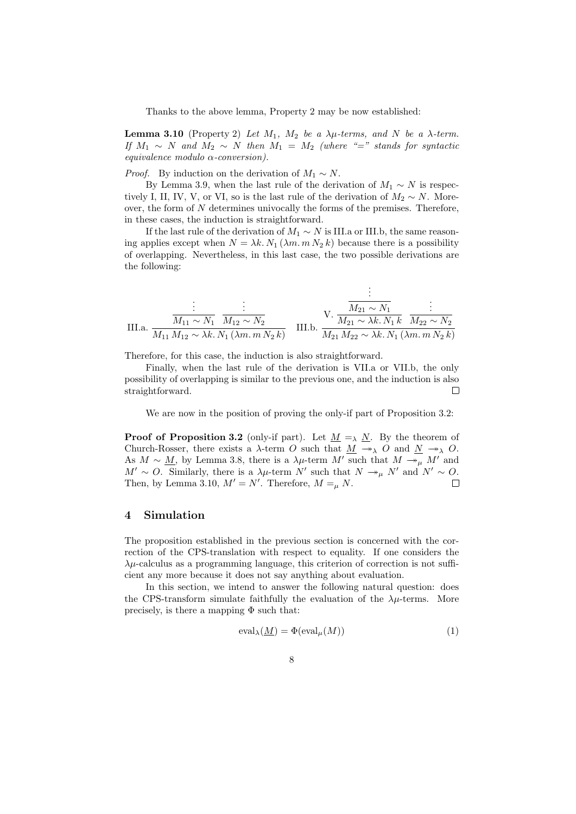Thanks to the above lemma, Property 2 may be now established:

Lemma 3.10 (Property 2) Let  $M_1$ ,  $M_2$  be a  $\lambda \mu$ -terms, and N be a  $\lambda$ -term. If  $M_1 \sim N$  and  $M_2 \sim N$  then  $M_1 = M_2$  (where "=" stands for syntactic equivalence modulo α-conversion).

*Proof.* By induction on the derivation of  $M_1 \sim N$ .

By Lemma 3.9, when the last rule of the derivation of  $M_1 \sim N$  is respectively I, II, IV, V, or VI, so is the last rule of the derivation of  $M_2 \sim N$ . Moreover, the form of N determines univocally the forms of the premises. Therefore, in these cases, the induction is straightforward.

If the last rule of the derivation of  $M_1 \sim N$  is III.a or III.b, the same reasoning applies except when  $N = \lambda k$ .  $N_1(\lambda m \cdot m N_2 k)$  because there is a possibility of overlapping. Nevertheless, in this last case, the two possible derivations are the following:

III.a. 
$$
\frac{\vdots}{M_{11} \sim N_1} \frac{\vdots}{M_{12} \sim N_2} \qquad \qquad \text{III.b. } \frac{\frac{\vdots}{M_{21} \sim N_1}}{M_{21} \sim \lambda k. N_1 k} \frac{\vdots}{M_{22} \sim N_2}} \qquad \text{III.b. } \frac{\frac{\vdots}{M_{21} \sim N_1}}{M_{21} M_{22} \sim \lambda k. N_1 k} \frac{\frac{\vdots}{M_{22} \sim N_2}}{M_{21} M_{22} \sim \lambda k. N_1 ( \lambda m. m. N_2 k)}
$$

.

Therefore, for this case, the induction is also straightforward.

Finally, when the last rule of the derivation is VII.a or VII.b, the only possibility of overlapping is similar to the previous one, and the induction is also straightforward.  $\Box$ 

We are now in the position of proving the only-if part of Proposition 3.2:

**Proof of Proposition 3.2** (only-if part). Let  $M = \lambda N$ . By the theorem of Church-Rosser, there exists a  $\lambda$ -term O such that  $\underline{M} \to_{\lambda} O$  and  $\underline{N} \to_{\lambda} O$ . As  $M \sim \underline{M}$ , by Lemma 3.8, there is a  $\lambda \mu$ -term M' such that  $M \rightarrow \mu M'$  and  $M' \sim O$ . Similarly, there is a  $\lambda \mu$ -term N' such that  $N \to_{\mu} N'$  and  $N' \sim O$ . Then, by Lemma 3.10,  $M' = N'$ . Therefore,  $M =_{\mu} N$ .  $\Box$ 

### 4 Simulation

The proposition established in the previous section is concerned with the correction of the CPS-translation with respect to equality. If one considers the  $\lambda \mu$ -calculus as a programming language, this criterion of correction is not sufficient any more because it does not say anything about evaluation.

In this section, we intend to answer the following natural question: does the CPS-transform simulate faithfully the evaluation of the  $\lambda \mu$ -terms. More precisely, is there a mapping  $\Phi$  such that:

$$
eval_{\lambda}(\underline{M}) = \Phi(\text{eval}_{\mu}(M))
$$
\n(1)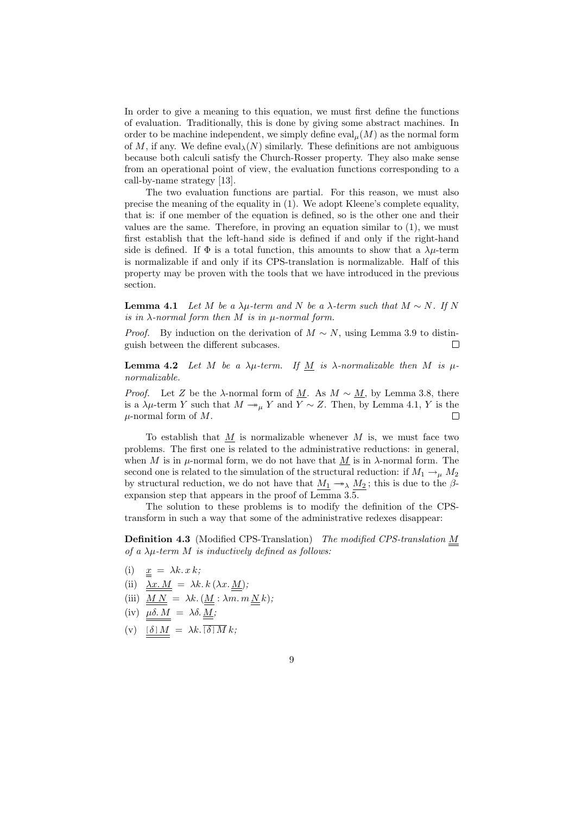In order to give a meaning to this equation, we must first define the functions of evaluation. Traditionally, this is done by giving some abstract machines. In order to be machine independent, we simply define  $eval_u(M)$  as the normal form of M, if any. We define  $eval_{\lambda}(N)$  similarly. These definitions are not ambiguous because both calculi satisfy the Church-Rosser property. They also make sense from an operational point of view, the evaluation functions corresponding to a call-by-name strategy [13].

The two evaluation functions are partial. For this reason, we must also precise the meaning of the equality in (1). We adopt Kleene's complete equality, that is: if one member of the equation is defined, so is the other one and their values are the same. Therefore, in proving an equation similar to (1), we must first establish that the left-hand side is defined if and only if the right-hand side is defined. If  $\Phi$  is a total function, this amounts to show that a  $\lambda \mu$ -term is normalizable if and only if its CPS-translation is normalizable. Half of this property may be proven with the tools that we have introduced in the previous section.

**Lemma 4.1** Let M be a  $\lambda \mu$ -term and N be a  $\lambda$ -term such that  $M \sim N$ . If N is in  $\lambda$ -normal form then M is in u-normal form.

*Proof.* By induction on the derivation of  $M \sim N$ , using Lemma 3.9 to distinguish between the different subcases.  $\Box$ 

**Lemma 4.2** Let M be a  $\lambda\mu$ -term. If M is  $\lambda$ -normalizable then M is  $\mu$ normalizable.

*Proof.* Let Z be the  $\lambda$ -normal form of <u>M</u>. As  $M \sim M$ , by Lemma 3.8, there is a  $\lambda \mu$ -term Y such that  $M \twoheadrightarrow_{\mu} Y$  and  $Y \sim Z$ . Then, by Lemma 4.1, Y is the  $\mu$ -normal form of M.  $\Box$ 

To establish that  $M$  is normalizable whenever M is, we must face two problems. The first one is related to the administrative reductions: in general, when M is in  $\mu$ -normal form, we do not have that M is in  $\lambda$ -normal form. The second one is related to the simulation of the structural reduction: if  $M_1 \rightarrow_\mu M_2$ by structural reduction, we do not have that  $M_1 \rightarrow \infty$ ,  $M_2$ ; this is due to the  $\beta$ expansion step that appears in the proof of Lemma 3.5.

The solution to these problems is to modify the definition of the CPStransform in such a way that some of the administrative redexes disappear:

Definition 4.3 (Modified CPS-Translation) The modified CPS-translation M of a  $\lambda \mu$ -term M is inductively defined as follows:

- (i)  $x = \lambda k \cdot x \cdot k;$
- (ii)  $\lambda x.M = \lambda k.k (\lambda x.M);$
- (iii)  $\underline{M N} = \lambda k. (\underline{M} : \lambda m. m \underline{N} k);$
- (iv)  $\mu \delta. M = \lambda \delta. M;$
- (v)  $[\delta] M = \lambda k. [\delta] M k;$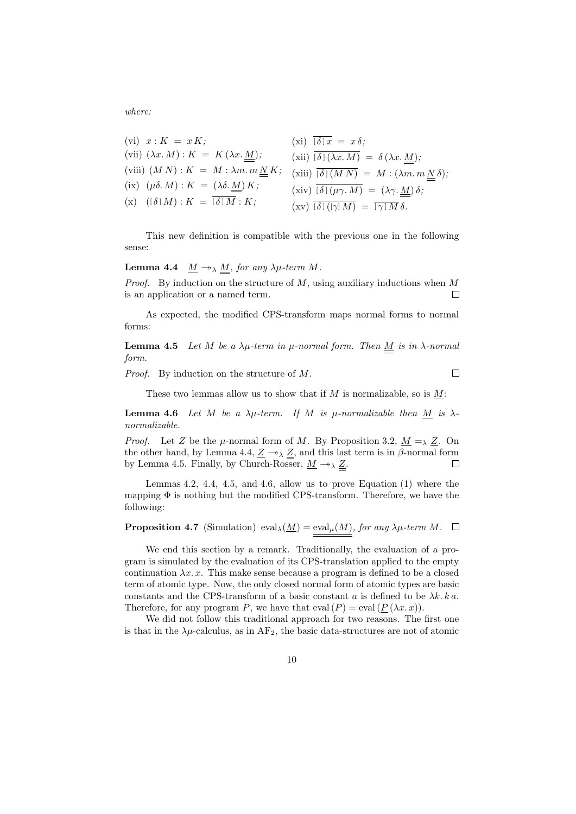where:

(vi) 
$$
x: K = xK
$$
;  
\n(vii)  $(\lambda x.M): K = K(\lambda x.\underline{M})$ ;  
\n(viii)  $(MN): K = M: \lambda m. m \underline{N} K$ ;  
\n(xii)  $\overline{[\delta](\lambda x.M)} = \delta (\lambda x. \underline{M})$ ;  
\n(xiii)  $(MN): K = M: \lambda m. m \underline{N} K$ ;  
\n(xiv)  $\overline{[\delta](M N)} = M: (\lambda m. m \underline{N} \delta)$ ;  
\n(xv)  $\overline{[\delta](\mu \gamma.M)} = (\lambda \gamma. \underline{M}) \delta$ ;  
\n(xv)  $\overline{[\delta](\gamma) M)} = \overline{[\gamma] M} \delta$ .

This new definition is compatible with the previous one in the following sense:

**Lemma 4.4**  $\underline{M} \rightarrow \lambda \underline{M}$ , for any  $\lambda \mu$ -term M.

*Proof.* By induction on the structure of  $M$ , using auxiliary inductions when  $M$ is an application or a named term. П

As expected, the modified CPS-transform maps normal forms to normal forms:

**Lemma 4.5** Let M be a  $\lambda \mu$ -term in  $\mu$ -normal form. Then M is in  $\lambda$ -normal form.

Proof. By induction on the structure of M.

These two lemmas allow us to show that if  $M$  is normalizable, so is  $M$ :

 $\Box$ 

**Lemma 4.6** Let M be a  $\lambda \mu$ -term. If M is  $\mu$ -normalizable then <u>M</u> is  $\lambda$ normalizable.

*Proof.* Let Z be the  $\mu$ -normal form of M. By Proposition 3.2,  $\underline{M} = \lambda \underline{Z}$ . On the other hand, by Lemma 4.4,  $\underline{Z} \rightarrow_{\lambda} \underline{Z}$ , and this last term is in  $\beta$ -normal form by Lemma 4.5. Finally, by Church-Rosser,  $\underline{M} \rightarrow \lambda \underline{Z}$ .  $\Box$ 

Lemmas 4.2, 4.4, 4.5, and 4.6, allow us to prove Equation (1) where the mapping  $\Phi$  is nothing but the modified CPS-transform. Therefore, we have the following:

**Proposition 4.7** (Simulation)  $eval_{\lambda}(\underline{M}) = eval_{\mu}(M)$ , for any  $\lambda\mu$ -term  $M$ .  $\Box$ 

We end this section by a remark. Traditionally, the evaluation of a program is simulated by the evaluation of its CPS-translation applied to the empty continuation  $\lambda x. x$ . This make sense because a program is defined to be a closed term of atomic type. Now, the only closed normal form of atomic types are basic constants and the CPS-transform of a basic constant  $a$  is defined to be  $\lambda k. k a$ . Therefore, for any program P, we have that  $eval(P) = eval(P(\lambda x. x)).$ 

We did not follow this traditional approach for two reasons. The first one is that in the  $\lambda\mu$ -calculus, as in AF<sub>2</sub>, the basic data-structures are not of atomic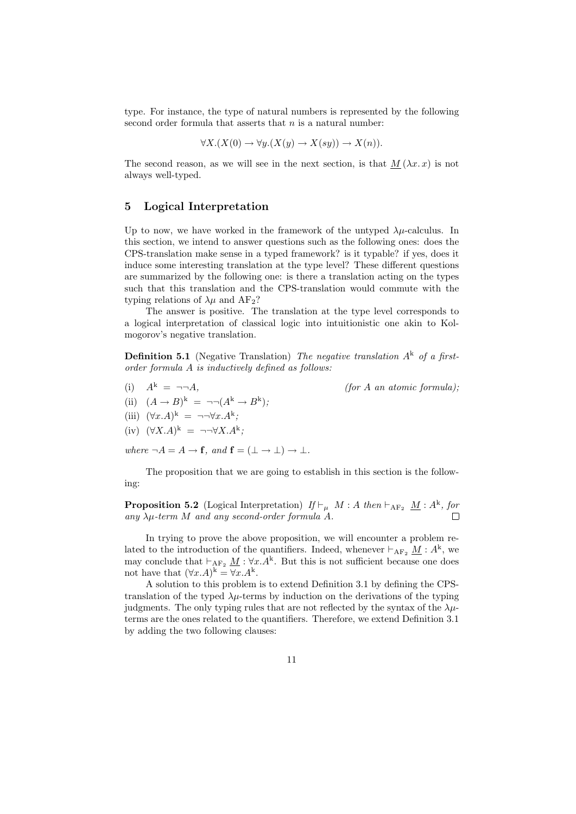type. For instance, the type of natural numbers is represented by the following second order formula that asserts that  $n$  is a natural number:

$$
\forall X. (X(0) \to \forall y. (X(y) \to X(sy)) \to X(n)).
$$

The second reason, as we will see in the next section, is that  $M(\lambda x. x)$  is not always well-typed.

### 5 Logical Interpretation

Up to now, we have worked in the framework of the untyped  $\lambda u$ -calculus. In this section, we intend to answer questions such as the following ones: does the CPS-translation make sense in a typed framework? is it typable? if yes, does it induce some interesting translation at the type level? These different questions are summarized by the following one: is there a translation acting on the types such that this translation and the CPS-translation would commute with the typing relations of  $\lambda \mu$  and  $AF_2$ ?

The answer is positive. The translation at the type level corresponds to a logical interpretation of classical logic into intuitionistic one akin to Kolmogorov's negative translation.

**Definition 5.1** (Negative Translation) The negative translation  $A^k$  of a firstorder formula A is inductively defined as follows:

(i)  $A^k = \neg \neg A$ , (for A an atomic formula);

- (ii)  $(A \rightarrow B)^k = \neg \neg (A^k \rightarrow B^k)$ ;
- (iii)  $(\forall x.A)^k = \neg\neg \forall x.A^k;$
- $(iv)$   $(\forall X.A)^k = \neg\neg \forall X.A^k;$

where  $\neg A = A \rightarrow \mathbf{f}$ , and  $\mathbf{f} = (\bot \rightarrow \bot) \rightarrow \bot$ .

The proposition that we are going to establish in this section is the following:

**Proposition 5.2** (Logical Interpretation)  $If \vdash_{\mu} M : A \text{ then } \vdash_{AF_2} \underline{M} : A^k$ , for any  $\lambda \mu$ -term M and any second-order formula A.

In trying to prove the above proposition, we will encounter a problem related to the introduction of the quantifiers. Indeed, whenever  $\vdash_{AF_2} \underline{M} : A^k$ , we may conclude that  $\vdash_{AF_2} \underline{M} : \forall x.A^k$ . But this is not sufficient because one does not have that  $(\forall x.A)^k = \forall x.A^k$ .

A solution to this problem is to extend Definition 3.1 by defining the CPStranslation of the typed  $\lambda \mu$ -terms by induction on the derivations of the typing judgments. The only typing rules that are not reflected by the syntax of the  $\lambda \mu$ terms are the ones related to the quantifiers. Therefore, we extend Definition 3.1 by adding the two following clauses: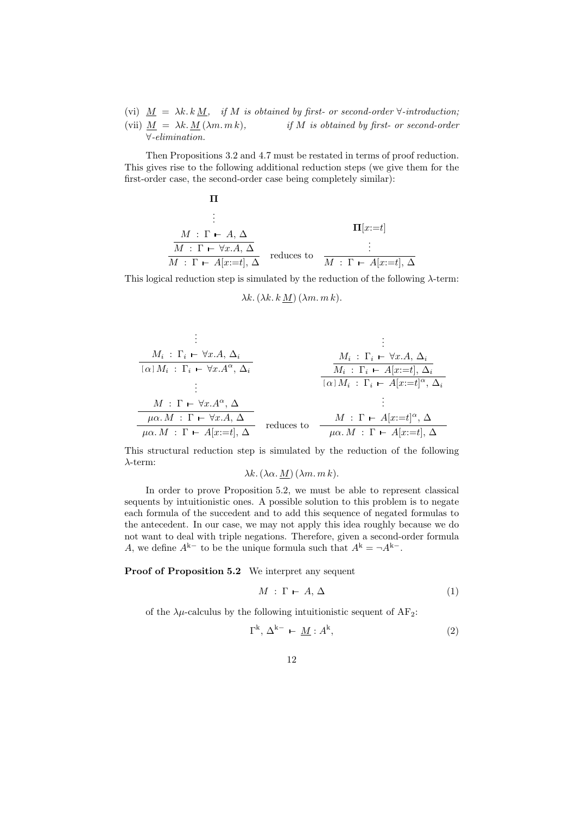(vi)  $M = \lambda k \cdot k M$ , if M is obtained by first- or second-order  $\forall$ -introduction; (vii)  $M = \lambda k \cdot M(\lambda m \cdot m k)$ , if M is obtained by first- or second-order ∀-elimination.

Then Propositions 3.2 and 4.7 must be restated in terms of proof reduction. This gives rise to the following additional reduction steps (we give them for the first-order case, the second-order case being completely similar):

$$
\Pi
$$
\n
$$
\vdots
$$
\n
$$
M : \Gamma \vdash A, \Delta
$$
\n
$$
\frac{M : \Gamma \vdash \forall x.A, \Delta}{M : \Gamma \vdash A[x:=t], \Delta}
$$
\nreduces to\n
$$
\frac{\vdots}{M : \Gamma \vdash A[x:=t], \Delta}
$$

This logical reduction step is simulated by the reduction of the following  $\lambda$ -term:

$$
\lambda k. \left(\lambda k. k \underline{M}\right) \left(\lambda m. m k\right).
$$

$$
\begin{array}{cccc}\n & \vdots & & \vdots & & \vdots \\
M_i: \Gamma_i \vdash \forall x.A, \Delta_i & & & \Delta_i \\
\hline\n[\alpha] M_i: \Gamma_i \vdash \forall x.A^{\alpha}, \Delta_i & & & M_i: \Gamma_i \vdash \forall x.A, \Delta_i \\
 & & \vdots & & \vdots \\
M: \Gamma \vdash \forall x.A^{\alpha}, \Delta & & \vdots \\
\hline\n\mu\alpha.M: \Gamma \vdash \forall x.A, \Delta & & & \vdots \\
\hline\n\mu\alpha.M: \Gamma \vdash A[x:=t], \Delta & & & \text{reduces to} & \Delta_i \\
\hline\n\mu\alpha.M: \Gamma \vdash A[x:=t], \Delta & & & \text{reduces to} & \Delta_i \\
\hline\n\mu\alpha.M: \Gamma \vdash A[x:=t], \Delta & & & & \text{if} \Delta_i\n\end{array}
$$

This structural reduction step is simulated by the reduction of the following λ-term:

 $\lambda k. (\lambda \alpha. M) (\lambda m. m k).$ 

In order to prove Proposition 5.2, we must be able to represent classical sequents by intuitionistic ones. A possible solution to this problem is to negate each formula of the succedent and to add this sequence of negated formulas to the antecedent. In our case, we may not apply this idea roughly because we do not want to deal with triple negations. Therefore, given a second-order formula A, we define  $A^{k-}$  to be the unique formula such that  $A^{k} = \neg A^{k-}$ .

Proof of Proposition 5.2 We interpret any sequent

$$
M: \Gamma \vdash A, \Delta \tag{1}
$$

of the  $\lambda \mu$ -calculus by the following intuitionistic sequent of AF<sub>2</sub>:

$$
\Gamma^{k}, \Delta^{k-} \vdash \underline{M} : A^{k}, \tag{2}
$$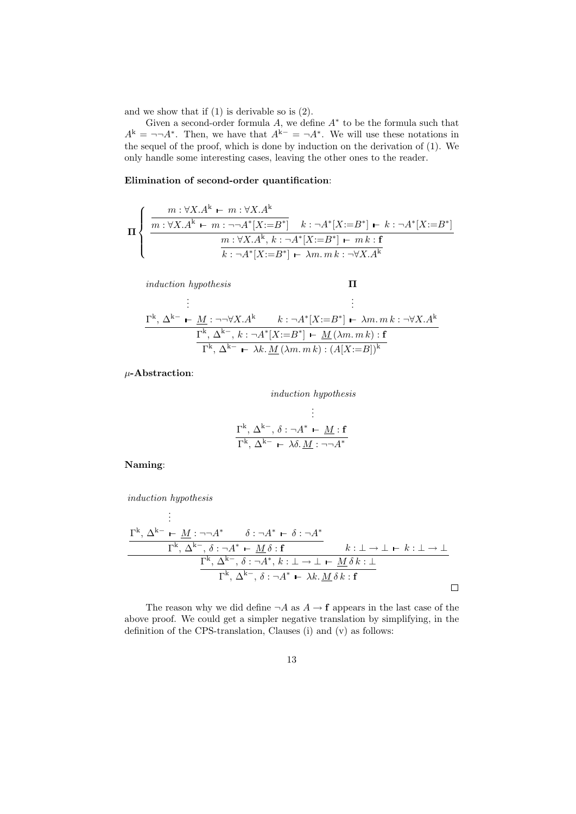and we show that if (1) is derivable so is (2).

Given a second-order formula  $A$ , we define  $A^*$  to be the formula such that  $A^{k} = \neg \neg A^{*}$ . Then, we have that  $A^{k-} = \neg A^{*}$ . We will use these notations in the sequel of the proof, which is done by induction on the derivation of (1). We only handle some interesting cases, leaving the other ones to the reader.

Elimination of second-order quantification:

$$
\Pi \left\{ \begin{array}{c} m: \forall X.A^k \leftarrow m: \forall X.A^k \\ \hline m: \forall X.A^k \leftarrow m: \neg\neg A^*[X:=B^*] \right. \\ \hline \begin{array}{c} m: \forall X.A^k, k: \neg A^*[X:=B^*] \leftarrow k: \neg A^*[X:=B^*] \\ \hline n: \forall X.A^k, k: \neg A^*[X:=B^*] \leftarrow m.k: \mathbf{f} \\ \hline k: \neg A^*[X:=B^*] \leftarrow \lambda m. m.k: \neg \forall X.A^k \end{array} \right. \end{array} \right.
$$

induction hypothesis . . .  $\Gamma^{\rm k},\,\Delta^{\rm k-}\,\vdash\, \underline{M}:\neg\neg\forall X.A^{\rm k}$ Π . . .  $k : \neg A^* [X := B^*] \vdash \lambda m. m k : \neg \forall X.A^k$  $\Gamma^k$ ,  $\Delta^{k-}$ ,  $k : \neg A^*[X := B^*] \vdash \underline{M}(\lambda m. m k) : A$  $\Gamma^k$ ,  $\Delta^{k-}$   $\vdash \lambda k$ .  $\underline{M}(\lambda m \cdot m k) : (A[X := B])^k$ 

 $\mu$ -Abstraction:

$$
induction\;hypothesi\\ \vdots\\
$$

$$
\frac{\Gamma^{k}, \Delta^{k-}, \delta : \neg A^{*} \vdash M : f}{\Gamma^{k}, \Delta^{k-} \vdash \lambda \delta. M : \neg \neg A^{*}}
$$

Naming:

induction hypothesis

$$
\frac{\Gamma^{k}, \Delta^{k-} \vdash M : \neg \neg A^{*} \qquad \delta : \neg A^{*} \vdash \delta : \neg A^{*}}{\Gamma^{k}, \Delta^{k-}, \delta : \neg A^{*} \vdash M \delta : f} \qquad k : \bot \to \bot \vdash k : \bot \to \bot
$$
\n
$$
\frac{\Gamma^{k}, \Delta^{k-}, \delta : \neg A^{*}, k : \bot \to \bot \vdash M \delta k : \bot}{\Gamma^{k}, \Delta^{k-}, \delta : \neg A^{*} \vdash \lambda k. M \delta k : f}
$$

The reason why we did define  $\neg A$  as  $A \rightarrow f$  appears in the last case of the above proof. We could get a simpler negative translation by simplifying, in the definition of the CPS-translation, Clauses (i) and (v) as follows: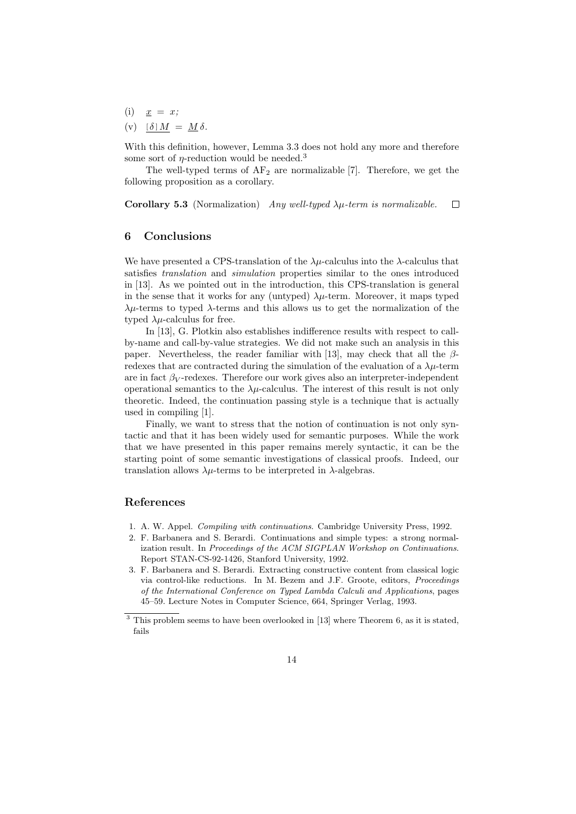$(i)$   $x = x;$ (v)  $[\delta] M = M \delta$ .

With this definition, however, Lemma 3.3 does not hold any more and therefore some sort of  $\eta$ -reduction would be needed.<sup>3</sup>

The well-typed terms of  $AF_2$  are normalizable [7]. Therefore, we get the following proposition as a corollary.

Corollary 5.3 (Normalization) Any well-typed  $\lambda \mu$ -term is normalizable.  $\Box$ 

#### 6 Conclusions

We have presented a CPS-translation of the  $\lambda \mu$ -calculus into the  $\lambda$ -calculus that satisfies translation and simulation properties similar to the ones introduced in [13]. As we pointed out in the introduction, this CPS-translation is general in the sense that it works for any (untyped)  $\lambda \mu$ -term. Moreover, it maps typed  $\lambda\mu$ -terms to typed  $\lambda$ -terms and this allows us to get the normalization of the typed  $\lambda \mu$ -calculus for free.

In [13], G. Plotkin also establishes indifference results with respect to callby-name and call-by-value strategies. We did not make such an analysis in this paper. Nevertheless, the reader familiar with [13], may check that all the  $\beta$ redexes that are contracted during the simulation of the evaluation of a  $\lambda \mu$ -term are in fact  $\beta_V$ -redexes. Therefore our work gives also an interpreter-independent operational semantics to the  $\lambda \mu$ -calculus. The interest of this result is not only theoretic. Indeed, the continuation passing style is a technique that is actually used in compiling [1].

Finally, we want to stress that the notion of continuation is not only syntactic and that it has been widely used for semantic purposes. While the work that we have presented in this paper remains merely syntactic, it can be the starting point of some semantic investigations of classical proofs. Indeed, our translation allows  $\lambda \mu$ -terms to be interpreted in  $\lambda$ -algebras.

## References

- 1. A. W. Appel. Compiling with continuations. Cambridge University Press, 1992.
- 2. F. Barbanera and S. Berardi. Continuations and simple types: a strong normalization result. In Proceedings of the ACM SIGPLAN Workshop on Continuations. Report STAN-CS-92-1426, Stanford University, 1992.
- 3. F. Barbanera and S. Berardi. Extracting constructive content from classical logic via control-like reductions. In M. Bezem and J.F. Groote, editors, Proceedings of the International Conference on Typed Lambda Calculi and Applications, pages 45–59. Lecture Notes in Computer Science, 664, Springer Verlag, 1993.

 $3$  This problem seems to have been overlooked in [13] where Theorem 6, as it is stated, fails